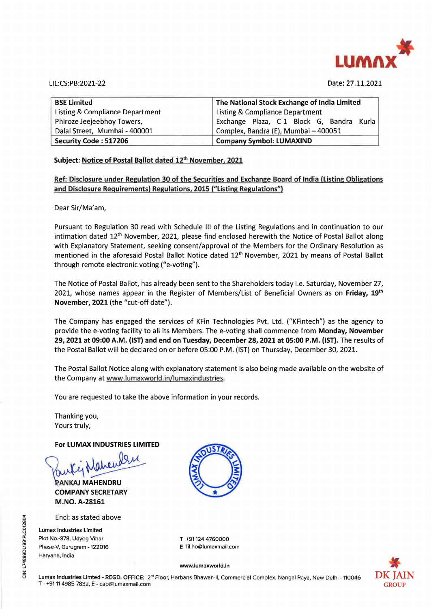

LI L:CS: l'l:LlUl.1-22 Date: 27.11.2021

| <b>BSE Limited</b>                         | The National Stock Exchange of India Limited |
|--------------------------------------------|----------------------------------------------|
| <b>Listing &amp; Compliance Department</b> | <b>Listing &amp; Compliance Department</b>   |
| Phiroze Jeejeebhoy Towers,                 | Exchange Plaza, C-1 Block G, Bandra Kurla    |
| Dalal Street, Mumbai - 400001              | Complex, Bandra (E), Mumbai - 400051         |
| Security Code: 517206                      | <b>Company Symbol: LUMAXIND</b>              |

#### Subject: Notice of Postal Ballot dated 12<sup>th</sup> November, 2021

**Ref: Disclosure under Regulation 30 of the Securities and Exchange Board of India (Listing Obligations and Disclosure Requirements) Regulations, 2015 ("Listing Regulations")** 

Dear Sir/Ma'am,

Pursuant to Regulation 30 read with Schedule Ill of the Listing Regulations and in continuation to our intimation dated 12<sup>th</sup> November, 2021, please find enclosed herewith the Notice of Postal Ballot along with Explanatory Statement, seeking consent/approval of the Members for the Ordinary Resolution as mentioned in the aforesaid Postal Ballot Notice dated 12<sup>th</sup> November, 2021 by means of Postal Ballot through remote electronic voting ("e-voting").

The Notice of Postal Ballot, has already been sent to the Shareholders today i.e. Saturday, November 27, 2021, whose names appear in the Register of Members/List of Beneficial Owners as on **Friday, 19th November, 2021** (the "cut-off date").

The Company has engaged the services of KFin Technologies Pvt. Ltd. ("KFintech") as the agency to provide the e-voting facility to all its Members. The e-voting shall commence from **Monday, November**  29, 2021 at 09:00 A.M. (1ST) and end on Tuesday, December 28, 2021 at 05:00 **P.M.** (1ST). The results of the Postal Ballot will be declared on or before 05:00 P.M. (1ST) on Thursday, December 30, 2021.

The Postal Ballot Notice along with explanatory statement is also being made available on the website of the Company at www.lumaxworld.in/lumaxindustries.

You are requested to take the above information in your records.

Thanking you, Yours truly,

**For LUMAX INDUSTRIES LIMITED** 

**COMPANY M.NO. A-28161** 

Encl: as stated above

Lumax Industries Limited Plot No.-878, Udyog Vihar Phase-V, Gurugram - 122016 Haryana, India



T +91124 4760000 E lil.ho@lumaxmall.com



www.lumaxworld.ln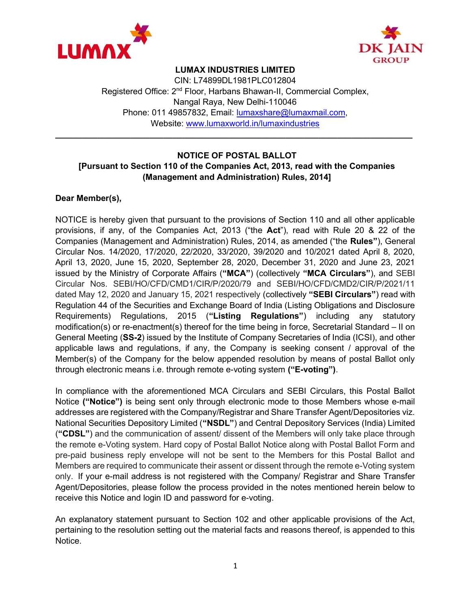



#### LUMAX INDUSTRIES LIMITED

CIN: L74899DL1981PLC012804 Registered Office: 2<sup>nd</sup> Floor, Harbans Bhawan-II, Commercial Complex, Nangal Raya, New Delhi-110046 Phone: 011 49857832, Email: lumaxshare@lumaxmail.com, Website: www.lumaxworld.in/lumaxindustries

\_\_\_\_\_\_\_\_\_\_\_\_\_\_\_\_\_\_\_\_\_\_\_\_\_\_\_\_\_\_\_\_\_\_\_\_\_\_\_\_\_\_\_\_\_\_\_\_\_\_\_\_\_\_\_\_\_\_\_\_\_\_\_\_\_\_\_\_\_\_\_\_\_\_\_\_

#### NOTICE OF POSTAL BALLOT [Pursuant to Section 110 of the Companies Act, 2013, read with the Companies (Management and Administration) Rules, 2014]

#### Dear Member(s),

NOTICE is hereby given that pursuant to the provisions of Section 110 and all other applicable provisions, if any, of the Companies Act, 2013 ("the Act"), read with Rule 20 & 22 of the Companies (Management and Administration) Rules, 2014, as amended ("the Rules"), General Circular Nos. 14/2020, 17/2020, 22/2020, 33/2020, 39/2020 and 10/2021 dated April 8, 2020, April 13, 2020, June 15, 2020, September 28, 2020, December 31, 2020 and June 23, 2021 issued by the Ministry of Corporate Affairs ("MCA") (collectively "MCA Circulars"), and SEBI Circular Nos. SEBI/HO/CFD/CMD1/CIR/P/2020/79 and SEBI/HO/CFD/CMD2/CIR/P/2021/11 dated May 12, 2020 and January 15, 2021 respectively (collectively "SEBI Circulars") read with Regulation 44 of the Securities and Exchange Board of India (Listing Obligations and Disclosure Requirements) Regulations, 2015 ("Listing Regulations") including any statutory modification(s) or re-enactment(s) thereof for the time being in force, Secretarial Standard – II on General Meeting (SS-2) issued by the Institute of Company Secretaries of India (ICSI), and other applicable laws and regulations, if any, the Company is seeking consent / approval of the Member(s) of the Company for the below appended resolution by means of postal Ballot only through electronic means i.e. through remote e-voting system ("E-voting").

In compliance with the aforementioned MCA Circulars and SEBI Circulars, this Postal Ballot Notice ("Notice") is being sent only through electronic mode to those Members whose e-mail addresses are registered with the Company/Registrar and Share Transfer Agent/Depositories viz. National Securities Depository Limited ("NSDL") and Central Depository Services (India) Limited ("CDSL") and the communication of assent/ dissent of the Members will only take place through the remote e-Voting system. Hard copy of Postal Ballot Notice along with Postal Ballot Form and pre-paid business reply envelope will not be sent to the Members for this Postal Ballot and Members are required to communicate their assent or dissent through the remote e-Voting system only. If your e-mail address is not registered with the Company/ Registrar and Share Transfer Agent/Depositories, please follow the process provided in the notes mentioned herein below to receive this Notice and login ID and password for e-voting.

An explanatory statement pursuant to Section 102 and other applicable provisions of the Act, pertaining to the resolution setting out the material facts and reasons thereof, is appended to this Notice.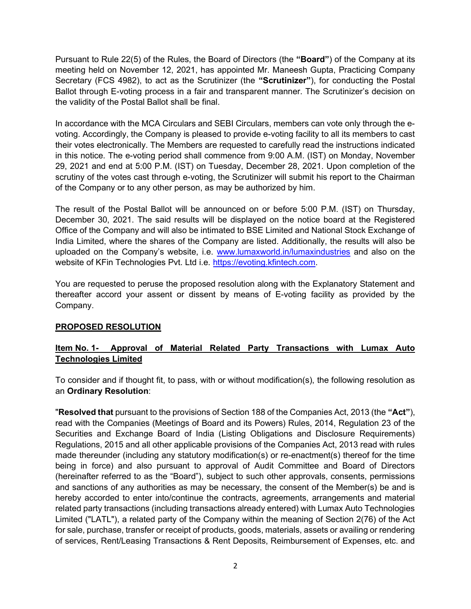Pursuant to Rule 22(5) of the Rules, the Board of Directors (the "Board") of the Company at its meeting held on November 12, 2021, has appointed Mr. Maneesh Gupta, Practicing Company Secretary (FCS 4982), to act as the Scrutinizer (the "Scrutinizer"), for conducting the Postal Ballot through E-voting process in a fair and transparent manner. The Scrutinizer's decision on the validity of the Postal Ballot shall be final.

In accordance with the MCA Circulars and SEBI Circulars, members can vote only through the evoting. Accordingly, the Company is pleased to provide e-voting facility to all its members to cast their votes electronically. The Members are requested to carefully read the instructions indicated in this notice. The e-voting period shall commence from 9:00 A.M. (IST) on Monday, November 29, 2021 and end at 5:00 P.M. (IST) on Tuesday, December 28, 2021. Upon completion of the scrutiny of the votes cast through e-voting, the Scrutinizer will submit his report to the Chairman of the Company or to any other person, as may be authorized by him.

The result of the Postal Ballot will be announced on or before 5:00 P.M. (IST) on Thursday, December 30, 2021. The said results will be displayed on the notice board at the Registered Office of the Company and will also be intimated to BSE Limited and National Stock Exchange of India Limited, where the shares of the Company are listed. Additionally, the results will also be uploaded on the Company's website, i.e. www.lumaxworld.in/lumaxindustries and also on the website of KFin Technologies Pvt. Ltd i.e. https://evoting.kfintech.com.

You are requested to peruse the proposed resolution along with the Explanatory Statement and thereafter accord your assent or dissent by means of E-voting facility as provided by the Company.

#### PROPOSED RESOLUTION

## Item No. 1- Approval of Material Related Party Transactions with Lumax Auto Technologies Limited

To consider and if thought fit, to pass, with or without modification(s), the following resolution as an Ordinary Resolution:

"Resolved that pursuant to the provisions of Section 188 of the Companies Act, 2013 (the "Act"), read with the Companies (Meetings of Board and its Powers) Rules, 2014, Regulation 23 of the Securities and Exchange Board of India (Listing Obligations and Disclosure Requirements) Regulations, 2015 and all other applicable provisions of the Companies Act, 2013 read with rules made thereunder (including any statutory modification(s) or re-enactment(s) thereof for the time being in force) and also pursuant to approval of Audit Committee and Board of Directors (hereinafter referred to as the "Board"), subject to such other approvals, consents, permissions and sanctions of any authorities as may be necessary, the consent of the Member(s) be and is hereby accorded to enter into/continue the contracts, agreements, arrangements and material related party transactions (including transactions already entered) with Lumax Auto Technologies Limited ("LATL"), a related party of the Company within the meaning of Section 2(76) of the Act for sale, purchase, transfer or receipt of products, goods, materials, assets or availing or rendering of services, Rent/Leasing Transactions & Rent Deposits, Reimbursement of Expenses, etc. and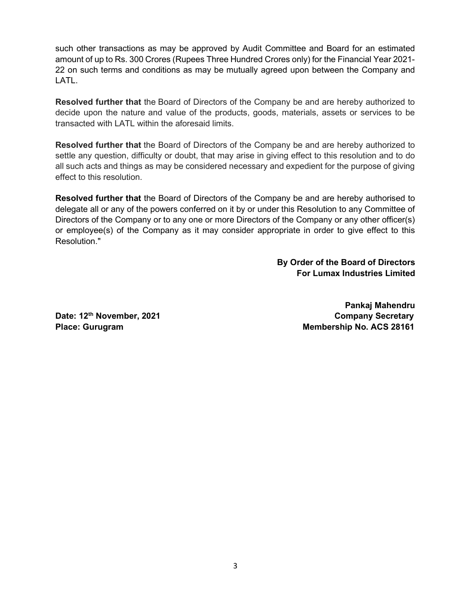such other transactions as may be approved by Audit Committee and Board for an estimated amount of up to Rs. 300 Crores (Rupees Three Hundred Crores only) for the Financial Year 2021- 22 on such terms and conditions as may be mutually agreed upon between the Company and LATL.

Resolved further that the Board of Directors of the Company be and are hereby authorized to decide upon the nature and value of the products, goods, materials, assets or services to be transacted with LATL within the aforesaid limits.

Resolved further that the Board of Directors of the Company be and are hereby authorized to settle any question, difficulty or doubt, that may arise in giving effect to this resolution and to do all such acts and things as may be considered necessary and expedient for the purpose of giving effect to this resolution.

Resolved further that the Board of Directors of the Company be and are hereby authorised to delegate all or any of the powers conferred on it by or under this Resolution to any Committee of Directors of the Company or to any one or more Directors of the Company or any other officer(s) or employee(s) of the Company as it may consider appropriate in order to give effect to this Resolution."

> By Order of the Board of Directors For Lumax Industries Limited

Pankaj Mahendru Date: 12<sup>th</sup> November, 2021 Company Secretary Place: Gurugram Membership No. ACS 28161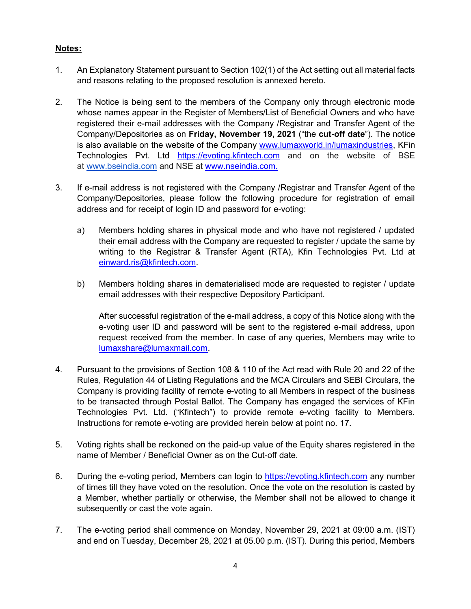## Notes:

- 1. An Explanatory Statement pursuant to Section 102(1) of the Act setting out all material facts and reasons relating to the proposed resolution is annexed hereto.
- 2. The Notice is being sent to the members of the Company only through electronic mode whose names appear in the Register of Members/List of Beneficial Owners and who have registered their e-mail addresses with the Company /Registrar and Transfer Agent of the Company/Depositories as on Friday, November 19, 2021 ("the cut-off date"). The notice is also available on the website of the Company www.lumaxworld.in/lumaxindustries, KFin Technologies Pvt. Ltd https://evoting.kfintech.com and on the website of BSE at www.bseindia.com and NSE at www.nseindia.com.
- 3. If e-mail address is not registered with the Company /Registrar and Transfer Agent of the Company/Depositories, please follow the following procedure for registration of email address and for receipt of login ID and password for e-voting:
	- a) Members holding shares in physical mode and who have not registered / updated their email address with the Company are requested to register / update the same by writing to the Registrar & Transfer Agent (RTA), Kfin Technologies Pvt. Ltd at einward.ris@kfintech.com.
	- b) Members holding shares in dematerialised mode are requested to register / update email addresses with their respective Depository Participant.

After successful registration of the e-mail address, a copy of this Notice along with the e-voting user ID and password will be sent to the registered e-mail address, upon request received from the member. In case of any queries, Members may write to lumaxshare@lumaxmail.com.

- 4. Pursuant to the provisions of Section 108 & 110 of the Act read with Rule 20 and 22 of the Rules, Regulation 44 of Listing Regulations and the MCA Circulars and SEBI Circulars, the Company is providing facility of remote e-voting to all Members in respect of the business to be transacted through Postal Ballot. The Company has engaged the services of KFin Technologies Pvt. Ltd. ("Kfintech") to provide remote e-voting facility to Members. Instructions for remote e-voting are provided herein below at point no. 17.
- 5. Voting rights shall be reckoned on the paid-up value of the Equity shares registered in the name of Member / Beneficial Owner as on the Cut-off date.
- 6. During the e-voting period, Members can login to https://evoting.kfintech.com any number of times till they have voted on the resolution. Once the vote on the resolution is casted by a Member, whether partially or otherwise, the Member shall not be allowed to change it subsequently or cast the vote again.
- 7. The e-voting period shall commence on Monday, November 29, 2021 at 09:00 a.m. (IST) and end on Tuesday, December 28, 2021 at 05.00 p.m. (IST). During this period, Members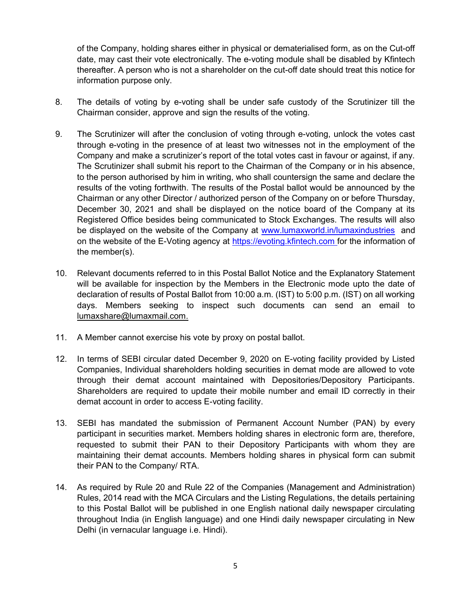of the Company, holding shares either in physical or dematerialised form, as on the Cut-off date, may cast their vote electronically. The e-voting module shall be disabled by Kfintech thereafter. A person who is not a shareholder on the cut-off date should treat this notice for information purpose only.

- 8. The details of voting by e-voting shall be under safe custody of the Scrutinizer till the Chairman consider, approve and sign the results of the voting.
- 9. The Scrutinizer will after the conclusion of voting through e-voting, unlock the votes cast through e-voting in the presence of at least two witnesses not in the employment of the Company and make a scrutinizer's report of the total votes cast in favour or against, if any. The Scrutinizer shall submit his report to the Chairman of the Company or in his absence, to the person authorised by him in writing, who shall countersign the same and declare the results of the voting forthwith. The results of the Postal ballot would be announced by the Chairman or any other Director / authorized person of the Company on or before Thursday, December 30, 2021 and shall be displayed on the notice board of the Company at its Registered Office besides being communicated to Stock Exchanges. The results will also be displayed on the website of the Company at www.lumaxworld.in/lumaxindustries and on the website of the E-Voting agency at https://evoting.kfintech.com for the information of the member(s).
- 10. Relevant documents referred to in this Postal Ballot Notice and the Explanatory Statement will be available for inspection by the Members in the Electronic mode upto the date of declaration of results of Postal Ballot from 10:00 a.m. (IST) to 5:00 p.m. (IST) on all working days. Members seeking to inspect such documents can send an email to lumaxshare@lumaxmail.com.
- 11. A Member cannot exercise his vote by proxy on postal ballot.
- 12. In terms of SEBI circular dated December 9, 2020 on E-voting facility provided by Listed Companies, Individual shareholders holding securities in demat mode are allowed to vote through their demat account maintained with Depositories/Depository Participants. Shareholders are required to update their mobile number and email ID correctly in their demat account in order to access E-voting facility.
- 13. SEBI has mandated the submission of Permanent Account Number (PAN) by every participant in securities market. Members holding shares in electronic form are, therefore, requested to submit their PAN to their Depository Participants with whom they are maintaining their demat accounts. Members holding shares in physical form can submit their PAN to the Company/ RTA.
- 14. As required by Rule 20 and Rule 22 of the Companies (Management and Administration) Rules, 2014 read with the MCA Circulars and the Listing Regulations, the details pertaining to this Postal Ballot will be published in one English national daily newspaper circulating throughout India (in English language) and one Hindi daily newspaper circulating in New Delhi (in vernacular language i.e. Hindi).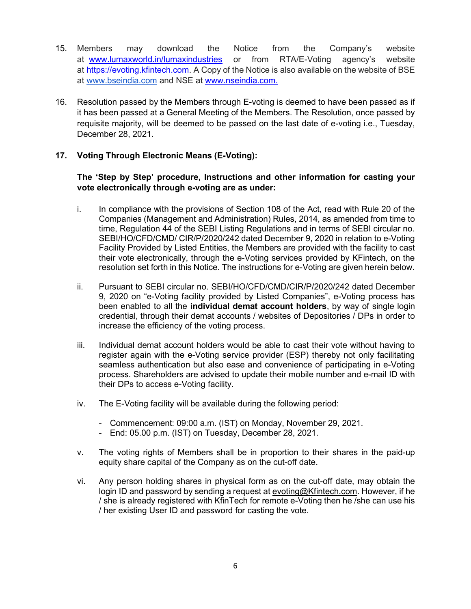- 15. Members may download the Notice from the Company's website at www.lumaxworld.in/lumaxindustries or from RTA/E-Voting agency's website at https://evoting.kfintech.com. A Copy of the Notice is also available on the website of BSE at www.bseindia.com and NSE at www.nseindia.com.
- 16. Resolution passed by the Members through E-voting is deemed to have been passed as if it has been passed at a General Meeting of the Members. The Resolution, once passed by requisite majority, will be deemed to be passed on the last date of e-voting i.e., Tuesday, December 28, 2021.

#### 17. Voting Through Electronic Means (E-Voting):

### The 'Step by Step' procedure, Instructions and other information for casting your vote electronically through e-voting are as under:

- i. In compliance with the provisions of Section 108 of the Act, read with Rule 20 of the Companies (Management and Administration) Rules, 2014, as amended from time to time, Regulation 44 of the SEBI Listing Regulations and in terms of SEBI circular no. SEBI/HO/CFD/CMD/ CIR/P/2020/242 dated December 9, 2020 in relation to e-Voting Facility Provided by Listed Entities, the Members are provided with the facility to cast their vote electronically, through the e-Voting services provided by KFintech, on the resolution set forth in this Notice. The instructions for e-Voting are given herein below.
- ii. Pursuant to SEBI circular no. SEBI/HO/CFD/CMD/CIR/P/2020/242 dated December 9, 2020 on "e-Voting facility provided by Listed Companies", e-Voting process has been enabled to all the individual demat account holders, by way of single login credential, through their demat accounts / websites of Depositories / DPs in order to increase the efficiency of the voting process.
- iii. Individual demat account holders would be able to cast their vote without having to register again with the e-Voting service provider (ESP) thereby not only facilitating seamless authentication but also ease and convenience of participating in e-Voting process. Shareholders are advised to update their mobile number and e-mail ID with their DPs to access e-Voting facility.
- iv. The E-Voting facility will be available during the following period:
	- Commencement: 09:00 a.m. (IST) on Monday, November 29, 2021.
	- End: 05.00 p.m. (IST) on Tuesday, December 28, 2021.
- v. The voting rights of Members shall be in proportion to their shares in the paid-up equity share capital of the Company as on the cut-off date.
- vi. Any person holding shares in physical form as on the cut-off date, may obtain the login ID and password by sending a request at evoting@Kfintech.com. However, if he / she is already registered with KfinTech for remote e-Voting then he /she can use his / her existing User ID and password for casting the vote.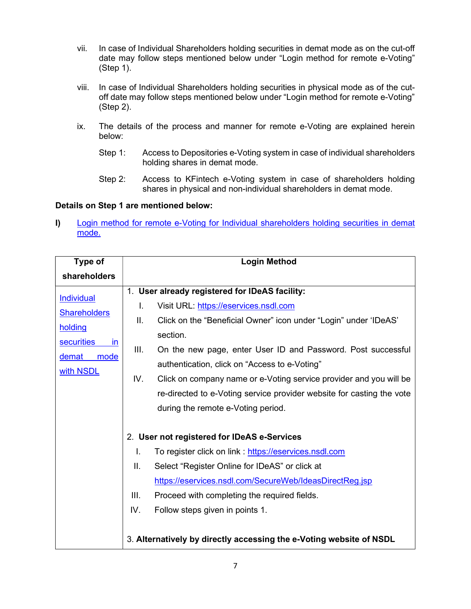- vii. In case of Individual Shareholders holding securities in demat mode as on the cut-off date may follow steps mentioned below under "Login method for remote e-Voting" (Step 1).
- viii. In case of Individual Shareholders holding securities in physical mode as of the cutoff date may follow steps mentioned below under "Login method for remote e-Voting" (Step 2).
- ix. The details of the process and manner for remote e-Voting are explained herein below:
	- Step 1: Access to Depositories e-Voting system in case of individual shareholders holding shares in demat mode.
	- Step 2: Access to KFintech e-Voting system in case of shareholders holding shares in physical and non-individual shareholders in demat mode.

#### Details on Step 1 are mentioned below:

I) Login method for remote e-Voting for Individual shareholders holding securities in demat mode.

| Type of                 | <b>Login Method</b>                                                       |  |
|-------------------------|---------------------------------------------------------------------------|--|
| shareholders            |                                                                           |  |
| <b>Individual</b>       | 1. User already registered for IDeAS facility:                            |  |
|                         | I.<br>Visit URL: https://eservices.nsdl.com                               |  |
| <b>Shareholders</b>     | Ш.<br>Click on the "Beneficial Owner" icon under "Login" under 'IDeAS'    |  |
| holding                 | section.                                                                  |  |
| <b>securities</b><br>in | III.<br>On the new page, enter User ID and Password. Post successful      |  |
| demat<br>mode           | authentication, click on "Access to e-Voting"                             |  |
| with NSDL               | IV.<br>Click on company name or e-Voting service provider and you will be |  |
|                         | re-directed to e-Voting service provider website for casting the vote     |  |
|                         | during the remote e-Voting period.                                        |  |
|                         |                                                                           |  |
|                         | 2. User not registered for IDeAS e-Services                               |  |
|                         | L.<br>To register click on link: https://eservices.nsdl.com               |  |
|                         | II.<br>Select "Register Online for IDeAS" or click at                     |  |
|                         | https://eservices.nsdl.com/SecureWeb/IdeasDirectReg.jsp                   |  |
|                         | III.<br>Proceed with completing the required fields.                      |  |
|                         | IV.<br>Follow steps given in points 1.                                    |  |
|                         |                                                                           |  |
|                         | 3. Alternatively by directly accessing the e-Voting website of NSDL       |  |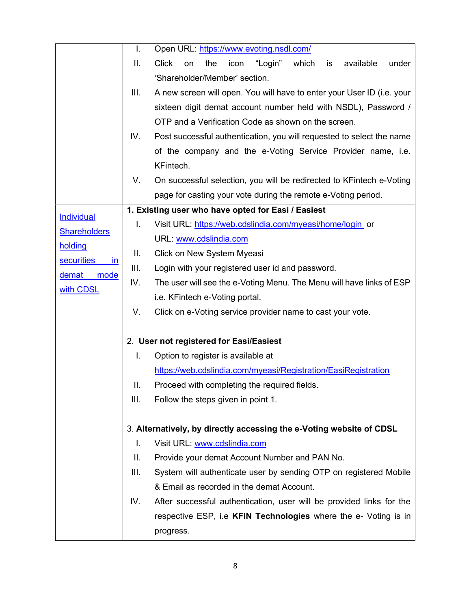|                                | I.   | Open URL: https://www.evoting.nsdl.com/                                           |
|--------------------------------|------|-----------------------------------------------------------------------------------|
|                                | Ⅱ.   | <b>Click</b><br>the<br>icon<br>"Login"<br>which<br>is<br>available<br>under<br>on |
|                                |      | 'Shareholder/Member' section.                                                     |
|                                | III. | A new screen will open. You will have to enter your User ID (i.e. your            |
|                                |      | sixteen digit demat account number held with NSDL), Password /                    |
|                                |      | OTP and a Verification Code as shown on the screen.                               |
|                                | IV.  | Post successful authentication, you will requested to select the name             |
|                                |      | of the company and the e-Voting Service Provider name, i.e.                       |
|                                |      | KFintech.                                                                         |
|                                | V.   | On successful selection, you will be redirected to KFintech e-Voting              |
|                                |      | page for casting your vote during the remote e-Voting period.                     |
| <b>Individual</b>              |      | 1. Existing user who have opted for Easi / Easiest                                |
| <b>Shareholders</b>            | L.   | Visit URL: https://web.cdslindia.com/myeasi/home/login_or                         |
| holding                        |      | URL: www.cdslindia.com                                                            |
| <b>securities</b><br><i>in</i> | Ш.   | Click on New System Myeasi                                                        |
| demat mode                     | III. | Login with your registered user id and password.                                  |
| IV.<br>with CDSL               |      | The user will see the e-Voting Menu. The Menu will have links of ESP              |
|                                |      | i.e. KFintech e-Voting portal.                                                    |
|                                | V.   | Click on e-Voting service provider name to cast your vote.                        |
|                                |      |                                                                                   |
|                                |      | 2. User not registered for Easi/Easiest                                           |
|                                | I.   | Option to register is available at                                                |
|                                |      | https://web.cdslindia.com/myeasi/Registration/EasiRegistration                    |
|                                | Ш.   | Proceed with completing the required fields.                                      |
|                                | III. | Follow the steps given in point 1.                                                |
|                                |      |                                                                                   |
|                                |      | 3. Alternatively, by directly accessing the e-Voting website of CDSL              |
|                                | I.   | Visit URL: www.cdslindia.com                                                      |
|                                | Ⅱ.   | Provide your demat Account Number and PAN No.                                     |
|                                | III. | System will authenticate user by sending OTP on registered Mobile                 |
|                                |      | & Email as recorded in the demat Account.                                         |
|                                | IV.  | After successful authentication, user will be provided links for the              |
|                                |      | respective ESP, i.e KFIN Technologies where the e- Voting is in                   |
|                                |      | progress.                                                                         |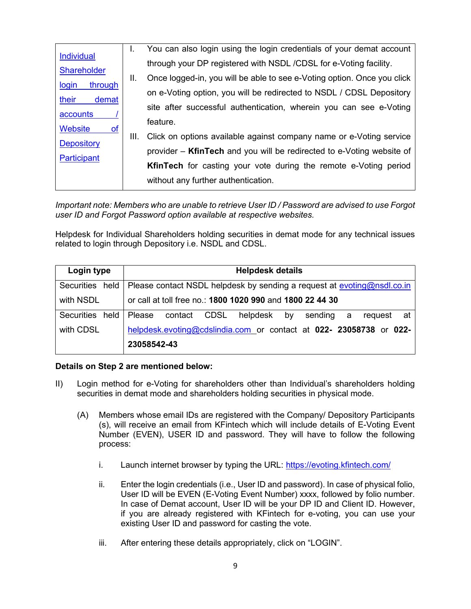| <b>Individual</b><br><b>Shareholder</b> | Ι.   | You can also login using the login credentials of your demat account    |
|-----------------------------------------|------|-------------------------------------------------------------------------|
|                                         | Ш.   | through your DP registered with NSDL /CDSL for e-Voting facility.       |
|                                         |      | Once logged-in, you will be able to see e-Voting option. Once you click |
| through<br>login                        |      | on e-Voting option, you will be redirected to NSDL / CDSL Depository    |
| their<br>demat                          |      | site after successful authentication, wherein you can see e-Voting      |
| accounts                                |      | feature.                                                                |
| <b>Website</b><br><b>of</b>             | III. | Click on options available against company name or e-Voting service     |
| Depository                              |      |                                                                         |
| <b>Participant</b>                      |      | provider – KfinTech and you will be redirected to e-Voting website of   |
|                                         |      | <b>KfinTech</b> for casting your vote during the remote e-Voting period |
|                                         |      | without any further authentication.                                     |
|                                         |      |                                                                         |

Important note: Members who are unable to retrieve User ID / Password are advised to use Forgot user ID and Forgot Password option available at respective websites.

Helpdesk for Individual Shareholders holding securities in demat mode for any technical issues related to login through Depository i.e. NSDL and CDSL.

| Login type           | <b>Helpdesk details</b>                                                 |  |  |
|----------------------|-------------------------------------------------------------------------|--|--|
| Securities held      | Please contact NSDL helpdesk by sending a request at evoting@nsdl.co.in |  |  |
| with NSDL            | or call at toll free no.: 1800 1020 990 and 1800 22 44 30               |  |  |
| held l<br>Securities | Please<br>contact CDSL<br>helpdesk<br>by<br>sending<br>request at<br>a  |  |  |
| with CDSL            | helpdesk.evoting@cdslindia.com or contact at 022- 23058738 or 022-      |  |  |
|                      | 23058542-43                                                             |  |  |

#### Details on Step 2 are mentioned below:

- II) Login method for e-Voting for shareholders other than Individual's shareholders holding securities in demat mode and shareholders holding securities in physical mode.
	- (A) Members whose email IDs are registered with the Company/ Depository Participants (s), will receive an email from KFintech which will include details of E-Voting Event Number (EVEN), USER ID and password. They will have to follow the following process:
		- i. Launch internet browser by typing the URL: https://evoting.kfintech.com/
		- ii. Enter the login credentials (i.e., User ID and password). In case of physical folio, User ID will be EVEN (E-Voting Event Number) xxxx, followed by folio number. In case of Demat account, User ID will be your DP ID and Client ID. However, if you are already registered with KFintech for e-voting, you can use your existing User ID and password for casting the vote.
		- iii. After entering these details appropriately, click on "LOGIN".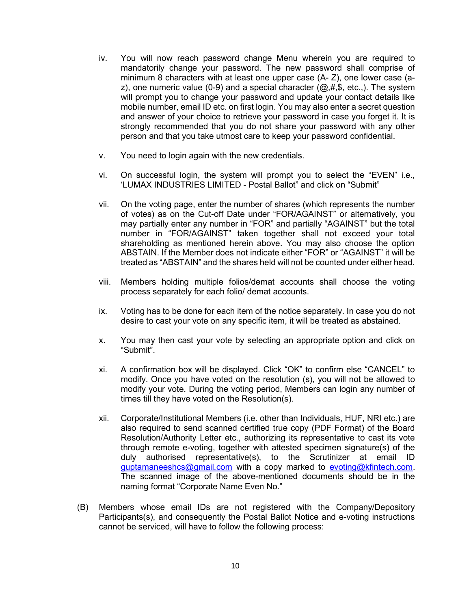- iv. You will now reach password change Menu wherein you are required to mandatorily change your password. The new password shall comprise of minimum 8 characters with at least one upper case (A- Z), one lower case (az), one numeric value (0-9) and a special character  $(\omega, \#, \$$ , etc.). The system will prompt you to change your password and update your contact details like mobile number, email ID etc. on first login. You may also enter a secret question and answer of your choice to retrieve your password in case you forget it. It is strongly recommended that you do not share your password with any other person and that you take utmost care to keep your password confidential.
- v. You need to login again with the new credentials.
- vi. On successful login, the system will prompt you to select the "EVEN" i.e., 'LUMAX INDUSTRIES LIMITED - Postal Ballot" and click on "Submit"
- vii. On the voting page, enter the number of shares (which represents the number of votes) as on the Cut-off Date under "FOR/AGAINST" or alternatively, you may partially enter any number in "FOR" and partially "AGAINST" but the total number in "FOR/AGAINST" taken together shall not exceed your total shareholding as mentioned herein above. You may also choose the option ABSTAIN. If the Member does not indicate either "FOR" or "AGAINST" it will be treated as "ABSTAIN" and the shares held will not be counted under either head.
- viii. Members holding multiple folios/demat accounts shall choose the voting process separately for each folio/ demat accounts.
- ix. Voting has to be done for each item of the notice separately. In case you do not desire to cast your vote on any specific item, it will be treated as abstained.
- x. You may then cast your vote by selecting an appropriate option and click on "Submit".
- xi. A confirmation box will be displayed. Click "OK" to confirm else "CANCEL" to modify. Once you have voted on the resolution (s), you will not be allowed to modify your vote. During the voting period, Members can login any number of times till they have voted on the Resolution(s).
- xii. Corporate/Institutional Members (i.e. other than Individuals, HUF, NRI etc.) are also required to send scanned certified true copy (PDF Format) of the Board Resolution/Authority Letter etc., authorizing its representative to cast its vote through remote e-voting, together with attested specimen signature(s) of the duly authorised representative(s), to the Scrutinizer at email ID guptamaneeshcs@gmail.com with a copy marked to evoting@kfintech.com. The scanned image of the above-mentioned documents should be in the naming format "Corporate Name Even No."
- (B) Members whose email IDs are not registered with the Company/Depository Participants(s), and consequently the Postal Ballot Notice and e-voting instructions cannot be serviced, will have to follow the following process: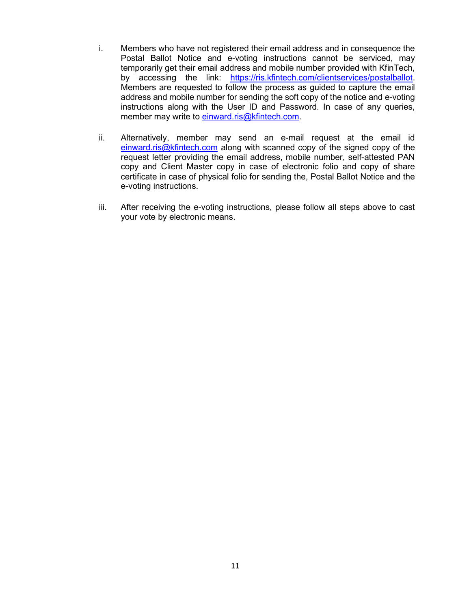- i. Members who have not registered their email address and in consequence the Postal Ballot Notice and e-voting instructions cannot be serviced, may temporarily get their email address and mobile number provided with KfinTech, by accessing the link: https://ris.kfintech.com/clientservices/postalballot. Members are requested to follow the process as guided to capture the email address and mobile number for sending the soft copy of the notice and e-voting instructions along with the User ID and Password. In case of any queries, member may write to einward.ris@kfintech.com.
- ii. Alternatively, member may send an e-mail request at the email id einward.ris@kfintech.com along with scanned copy of the signed copy of the request letter providing the email address, mobile number, self-attested PAN copy and Client Master copy in case of electronic folio and copy of share certificate in case of physical folio for sending the, Postal Ballot Notice and the e-voting instructions.
- iii. After receiving the e-voting instructions, please follow all steps above to cast your vote by electronic means.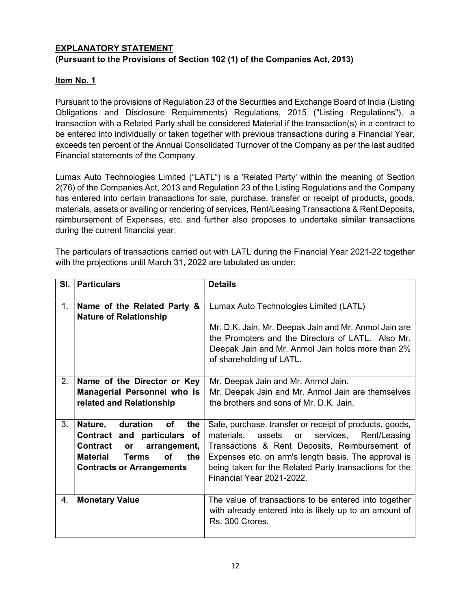# EXPLANATORY STATEMENT (Pursuant to the Provisions of Section 102 (1) of the Companies Act, 2013)

## Item No. 1

Pursuant to the provisions of Regulation 23 of the Securities and Exchange Board of India (Listing Obligations and Disclosure Requirements) Regulations, 2015 ("Listing Regulations"), a transaction with a Related Party shall be considered Material if the transaction(s) in a contract to be entered into individually or taken together with previous transactions during a Financial Year, exceeds ten percent of the Annual Consolidated Turnover of the Company as per the last audited Financial statements of the Company.

Lumax Auto Technologies Limited ("LATL") is a 'Related Party' within the meaning of Section 2(76) of the Companies Act, 2013 and Regulation 23 of the Listing Regulations and the Company has entered into certain transactions for sale, purchase, transfer or receipt of products, goods, materials, assets or availing or rendering of services, Rent/Leasing Transactions & Rent Deposits, reimbursement of Expenses, etc. and further also proposes to undertake similar transactions during the current financial year.

The particulars of transactions carried out with LATL during the Financial Year 2021-22 together with the projections until March 31, 2022 are tabulated as under:

| SI. | <b>Particulars</b>                                                                                                                                                                    | <b>Details</b>                                                                                                                                                                                                                                                                                                      |
|-----|---------------------------------------------------------------------------------------------------------------------------------------------------------------------------------------|---------------------------------------------------------------------------------------------------------------------------------------------------------------------------------------------------------------------------------------------------------------------------------------------------------------------|
| 1.  | Name of the Related Party &<br><b>Nature of Relationship</b>                                                                                                                          | Lumax Auto Technologies Limited (LATL)                                                                                                                                                                                                                                                                              |
|     |                                                                                                                                                                                       | Mr. D.K. Jain, Mr. Deepak Jain and Mr. Anmol Jain are<br>the Promoters and the Directors of LATL. Also Mr.<br>Deepak Jain and Mr. Anmol Jain holds more than 2%<br>of shareholding of LATL.                                                                                                                         |
| 2.  | Name of the Director or Key<br>Managerial Personnel who is<br>related and Relationship                                                                                                | Mr. Deepak Jain and Mr. Anmol Jain.<br>Mr. Deepak Jain and Mr. Anmol Jain are themselves<br>the brothers and sons of Mr. D.K. Jain.                                                                                                                                                                                 |
| 3.  | Nature,<br>duration<br>the<br>οf<br>Contract and particulars of<br>Contract<br>arrangement,<br><b>or</b><br>Οf<br>Material<br>the<br><b>Terms</b><br><b>Contracts or Arrangements</b> | Sale, purchase, transfer or receipt of products, goods,<br>materials,<br>assets<br>services,<br>Rent/Leasing<br>or<br>Transactions & Rent Deposits, Reimbursement of<br>Expenses etc. on arm's length basis. The approval is<br>being taken for the Related Party transactions for the<br>Financial Year 2021-2022. |
| 4.  | <b>Monetary Value</b>                                                                                                                                                                 | The value of transactions to be entered into together<br>with already entered into is likely up to an amount of<br>Rs. 300 Crores.                                                                                                                                                                                  |